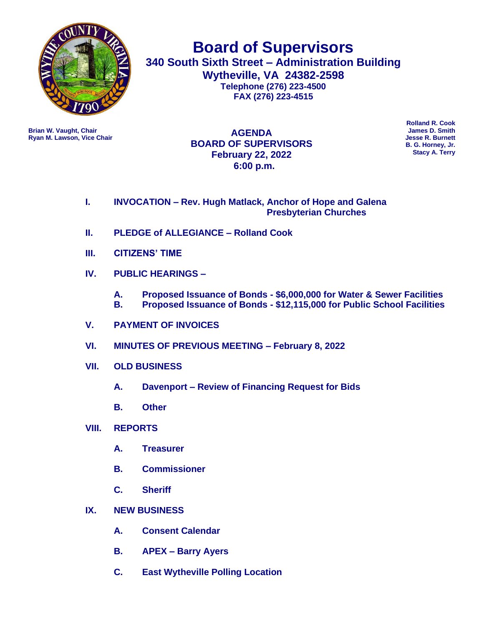

**Board of Supervisors 340 South Sixth Street – Administration Building Wytheville, VA 24382-2598 Telephone (276) 223-4500 FAX (276) 223-4515**

**Ryan M. Lawson, Vice Chair** 

**Brian W. Vaught, Chair James D. Smith AGENDA BOARD OF SUPERVISORS February 22, 2022 6:00 p.m.**

**Rolland R. Cook B. G. Horney, Jr. Stacy A. Terry**

## **I. INVOCATION – Rev. Hugh Matlack, Anchor of Hope and Galena Presbyterian Churches**

- **II. PLEDGE of ALLEGIANCE – Rolland Cook**
- **III. CITIZENS' TIME**
- **IV. PUBLIC HEARINGS –**
	- **A. Proposed Issuance of Bonds - \$6,000,000 for Water & Sewer Facilities**
	- **B. Proposed Issuance of Bonds - \$12,115,000 for Public School Facilities**
- **V. PAYMENT OF INVOICES**
- **VI. MINUTES OF PREVIOUS MEETING – February 8, 2022**
- **VII. OLD BUSINESS**
	- **A. Davenport – Review of Financing Request for Bids**
	- **B. Other**
- **VIII. REPORTS**
	- **A. Treasurer**
	- **B. Commissioner**
	- **C. Sheriff**
- **IX. NEW BUSINESS** 
	- **A. Consent Calendar**
	- **B. APEX – Barry Ayers**
	- **C. East Wytheville Polling Location**